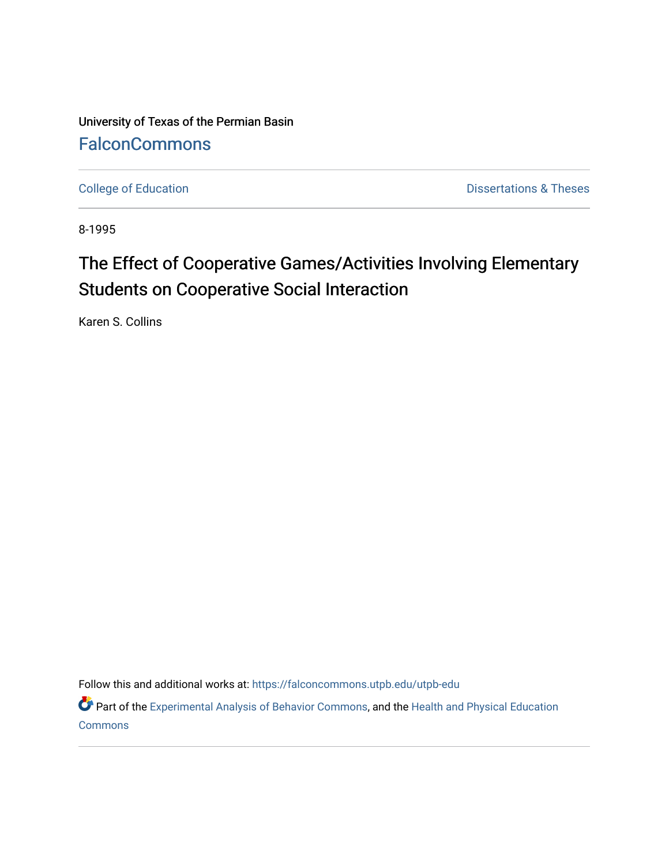University of Texas of the Permian Basin **[FalconCommons](https://falconcommons.utpb.edu/)** 

[College of Education](https://falconcommons.utpb.edu/utpb-edu) **Dissertations & Theses** 

8-1995

# The Effect of Cooperative Games/Activities Involving Elementary Students on Cooperative Social Interaction

Karen S. Collins

Follow this and additional works at: [https://falconcommons.utpb.edu/utpb-edu](https://falconcommons.utpb.edu/utpb-edu?utm_source=falconcommons.utpb.edu%2Futpb-edu%2F84&utm_medium=PDF&utm_campaign=PDFCoverPages) 

Part of the [Experimental Analysis of Behavior Commons,](http://network.bepress.com/hgg/discipline/1236?utm_source=falconcommons.utpb.edu%2Futpb-edu%2F84&utm_medium=PDF&utm_campaign=PDFCoverPages) and the [Health and Physical Education](http://network.bepress.com/hgg/discipline/1327?utm_source=falconcommons.utpb.edu%2Futpb-edu%2F84&utm_medium=PDF&utm_campaign=PDFCoverPages) **[Commons](http://network.bepress.com/hgg/discipline/1327?utm_source=falconcommons.utpb.edu%2Futpb-edu%2F84&utm_medium=PDF&utm_campaign=PDFCoverPages)**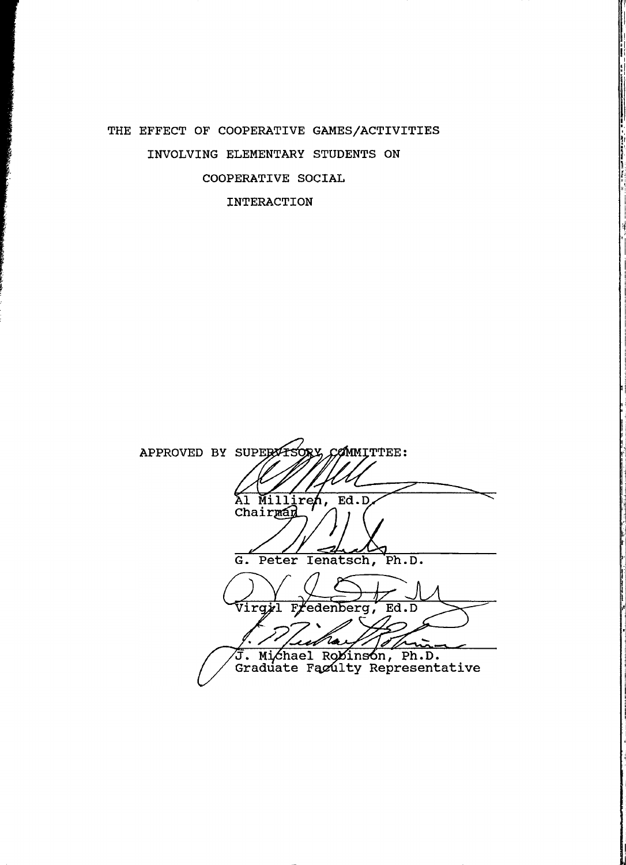### THE EFFECT OF COOPERATIVE GAMES/ACTIVITIES INVOLVING ELEMENTARY STUDENTS ON COOPERATIVE SOCIAL INTERACTION

**Beach** 

APPROVED BY SUPERVISORY, COMMITTEE: Al Milliren,  $Ed.D$ G. Peter Ienatsch, Ph.D. Virgyl fedenberg,  $Ed.D$  $\mathbf{F}_i$ Zo Þ చ J. Michael Robinson, Ph.D.<br>Graduate Faculty Representative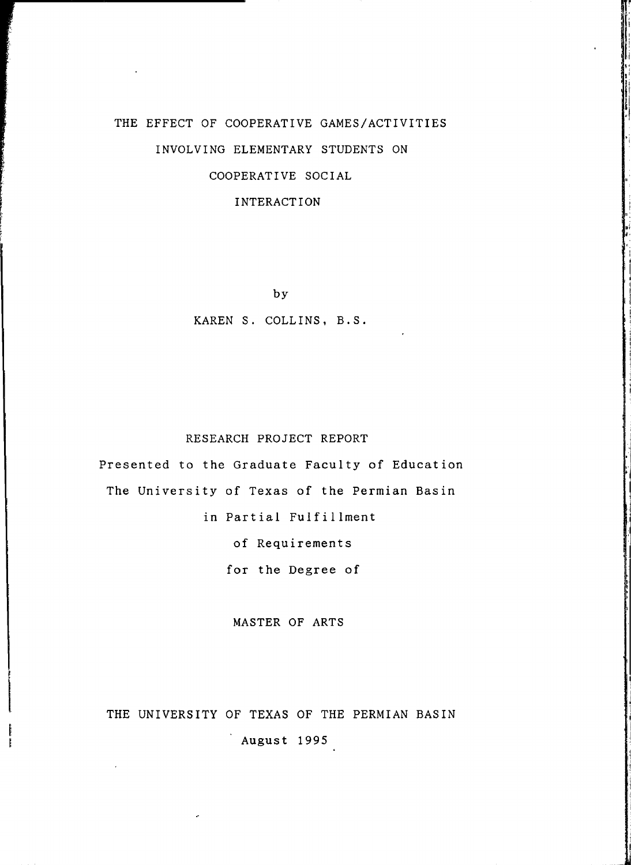## THE EFFECT OF COOPERATIVE GAMES/ACTIVITIES INVOLVING ELEMENTARY STUDENTS ON COOPERATIVE SOCIAL

#### INTERACTION

by

#### KAREN S. COLLINS, B.S.

#### RESEARCH PROJECT REPORT

Presented to the Graduate Faculty of Education The University of Texas of the Permian Basin in Partial Fulfillment of Requirements for the Degree of

MASTER OF ARTS

### THE UNIVERSITY OF TEXAS OF THE PERMIAN BASIN

August 1995